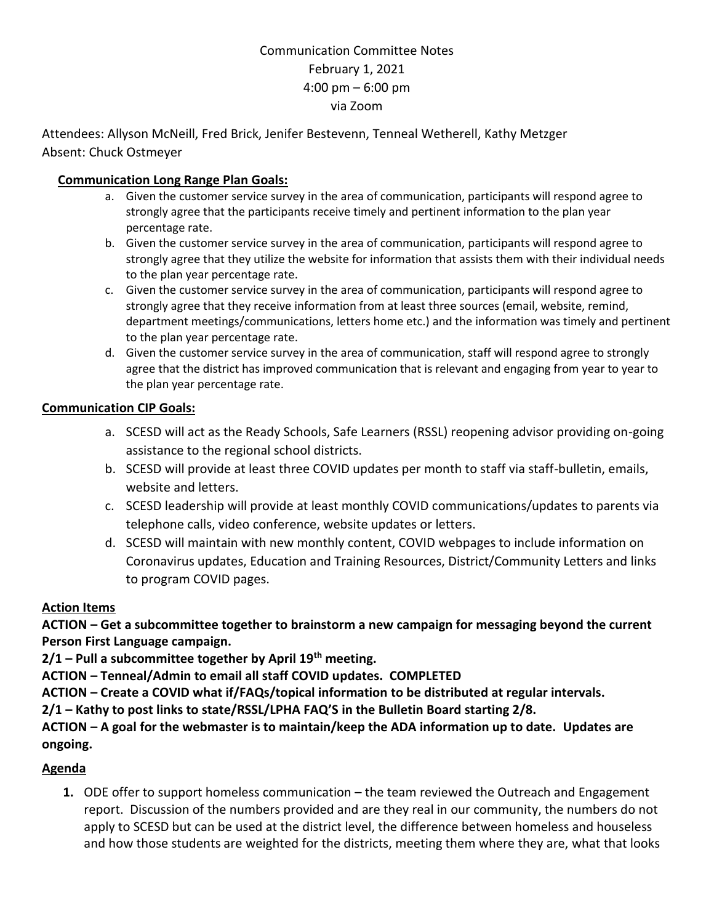# Communication Committee Notes February 1, 2021 4:00 pm – 6:00 pm via Zoom

Attendees: Allyson McNeill, Fred Brick, Jenifer Bestevenn, Tenneal Wetherell, Kathy Metzger Absent: Chuck Ostmeyer

### **Communication Long Range Plan Goals:**

- a. Given the customer service survey in the area of communication, participants will respond agree to strongly agree that the participants receive timely and pertinent information to the plan year percentage rate.
- b. Given the customer service survey in the area of communication, participants will respond agree to strongly agree that they utilize the website for information that assists them with their individual needs to the plan year percentage rate.
- c. Given the customer service survey in the area of communication, participants will respond agree to strongly agree that they receive information from at least three sources (email, website, remind, department meetings/communications, letters home etc.) and the information was timely and pertinent to the plan year percentage rate.
- d. Given the customer service survey in the area of communication, staff will respond agree to strongly agree that the district has improved communication that is relevant and engaging from year to year to the plan year percentage rate.

### **Communication CIP Goals:**

- a. SCESD will act as the Ready Schools, Safe Learners (RSSL) reopening advisor providing on-going assistance to the regional school districts.
- b. SCESD will provide at least three COVID updates per month to staff via staff-bulletin, emails, website and letters.
- c. SCESD leadership will provide at least monthly COVID communications/updates to parents via telephone calls, video conference, website updates or letters.
- d. SCESD will maintain with new monthly content, COVID webpages to include information on Coronavirus updates, Education and Training Resources, District/Community Letters and links to program COVID pages.

#### **Action Items**

**ACTION – Get a subcommittee together to brainstorm a new campaign for messaging beyond the current Person First Language campaign.**

**2/1 – Pull a subcommittee together by April 19th meeting.**

**ACTION – Tenneal/Admin to email all staff COVID updates. COMPLETED**

**ACTION – Create a COVID what if/FAQs/topical information to be distributed at regular intervals.**

**2/1 – Kathy to post links to state/RSSL/LPHA FAQ'S in the Bulletin Board starting 2/8.**

**ACTION – A goal for the webmaster is to maintain/keep the ADA information up to date. Updates are ongoing.**

## **Agenda**

**1.** ODE offer to support homeless communication – the team reviewed the Outreach and Engagement report. Discussion of the numbers provided and are they real in our community, the numbers do not apply to SCESD but can be used at the district level, the difference between homeless and houseless and how those students are weighted for the districts, meeting them where they are, what that looks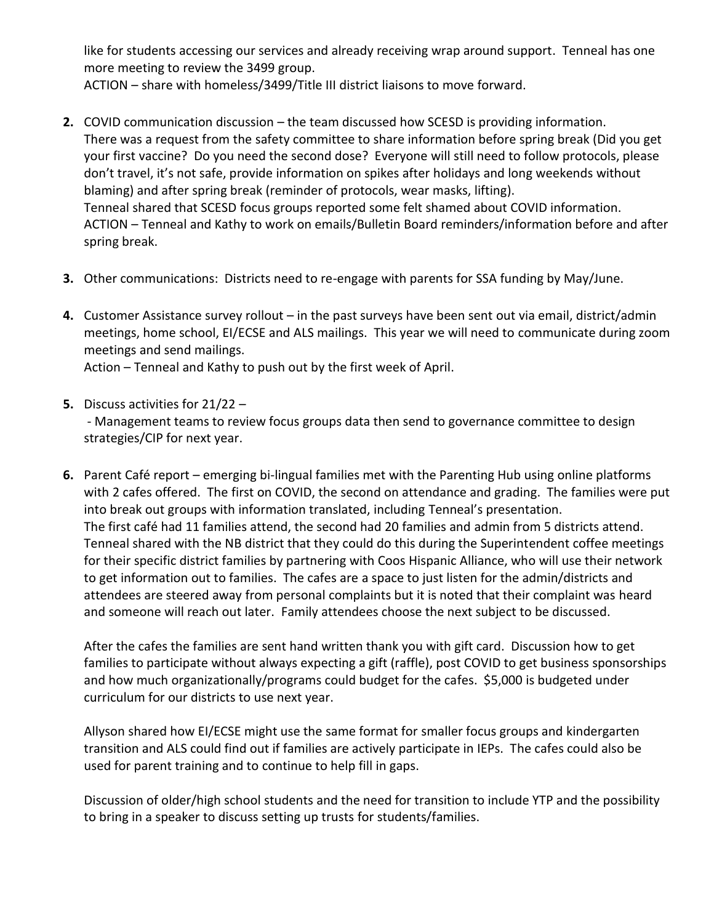like for students accessing our services and already receiving wrap around support. Tenneal has one more meeting to review the 3499 group.

ACTION – share with homeless/3499/Title III district liaisons to move forward.

- **2.** COVID communication discussion the team discussed how SCESD is providing information. There was a request from the safety committee to share information before spring break (Did you get your first vaccine? Do you need the second dose? Everyone will still need to follow protocols, please don't travel, it's not safe, provide information on spikes after holidays and long weekends without blaming) and after spring break (reminder of protocols, wear masks, lifting). Tenneal shared that SCESD focus groups reported some felt shamed about COVID information. ACTION – Tenneal and Kathy to work on emails/Bulletin Board reminders/information before and after spring break.
- **3.** Other communications: Districts need to re-engage with parents for SSA funding by May/June.
- **4.** Customer Assistance survey rollout in the past surveys have been sent out via email, district/admin meetings, home school, EI/ECSE and ALS mailings. This year we will need to communicate during zoom meetings and send mailings.

Action – Tenneal and Kathy to push out by the first week of April.

**5.** Discuss activities for 21/22 –

- Management teams to review focus groups data then send to governance committee to design strategies/CIP for next year.

**6.** Parent Café report – emerging bi-lingual families met with the Parenting Hub using online platforms with 2 cafes offered. The first on COVID, the second on attendance and grading. The families were put into break out groups with information translated, including Tenneal's presentation. The first café had 11 families attend, the second had 20 families and admin from 5 districts attend. Tenneal shared with the NB district that they could do this during the Superintendent coffee meetings for their specific district families by partnering with Coos Hispanic Alliance, who will use their network to get information out to families. The cafes are a space to just listen for the admin/districts and attendees are steered away from personal complaints but it is noted that their complaint was heard and someone will reach out later. Family attendees choose the next subject to be discussed.

After the cafes the families are sent hand written thank you with gift card. Discussion how to get families to participate without always expecting a gift (raffle), post COVID to get business sponsorships and how much organizationally/programs could budget for the cafes. \$5,000 is budgeted under curriculum for our districts to use next year.

Allyson shared how EI/ECSE might use the same format for smaller focus groups and kindergarten transition and ALS could find out if families are actively participate in IEPs. The cafes could also be used for parent training and to continue to help fill in gaps.

Discussion of older/high school students and the need for transition to include YTP and the possibility to bring in a speaker to discuss setting up trusts for students/families.